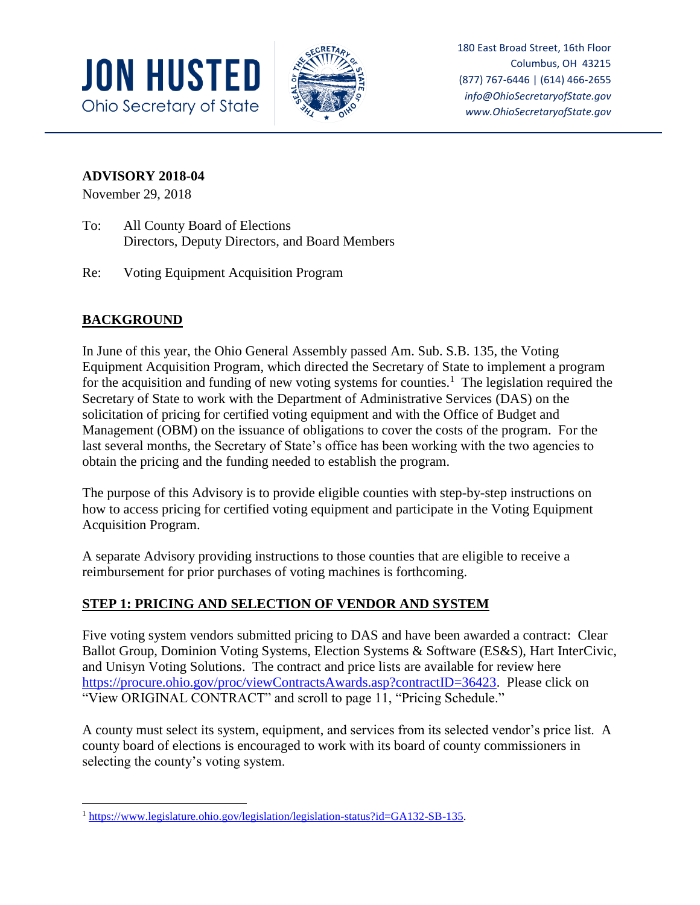



180 East Broad Street, 16th Floor Columbus, OH 43215 (877) 767-6446 | (614) 466-2655 *info@OhioSecretaryofState.gov www.OhioSecretaryofState.gov*

#### **ADVISORY 2018-04**

November 29, 2018

- To: All County Board of Elections Directors, Deputy Directors, and Board Members
- Re: Voting Equipment Acquisition Program

# **BACKGROUND**

In June of this year, the Ohio General Assembly passed Am. Sub. S.B. 135, the Voting Equipment Acquisition Program, which directed the Secretary of State to implement a program for the acquisition and funding of new voting systems for counties.<sup>1</sup> The legislation required the Secretary of State to work with the Department of Administrative Services (DAS) on the solicitation of pricing for certified voting equipment and with the Office of Budget and Management (OBM) on the issuance of obligations to cover the costs of the program. For the last several months, the Secretary of State's office has been working with the two agencies to obtain the pricing and the funding needed to establish the program.

The purpose of this Advisory is to provide eligible counties with step-by-step instructions on how to access pricing for certified voting equipment and participate in the Voting Equipment Acquisition Program.

A separate Advisory providing instructions to those counties that are eligible to receive a reimbursement for prior purchases of voting machines is forthcoming.

## **STEP 1: PRICING AND SELECTION OF VENDOR AND SYSTEM**

Five voting system vendors submitted pricing to DAS and have been awarded a contract: Clear Ballot Group, Dominion Voting Systems, Election Systems & Software (ES&S), Hart InterCivic, and Unisyn Voting Solutions. The contract and price lists are available for review here [https://procure.ohio.gov/proc/viewContractsAwards.asp?contractID=36423.](https://procure.ohio.gov/proc/viewContractsAwards.asp?contractID=36423) Please click on "View ORIGINAL CONTRACT" and scroll to page 11, "Pricing Schedule."

A county must select its system, equipment, and services from its selected vendor's price list. A county board of elections is encouraged to work with its board of county commissioners in selecting the county's voting system.

 $\overline{\phantom{a}}$ <sup>1</sup> [https://www.legislature.ohio.gov/legislation/legislation-status?id=GA132-SB-135.](https://www.legislature.ohio.gov/legislation/legislation-status?id=GA132-SB-135)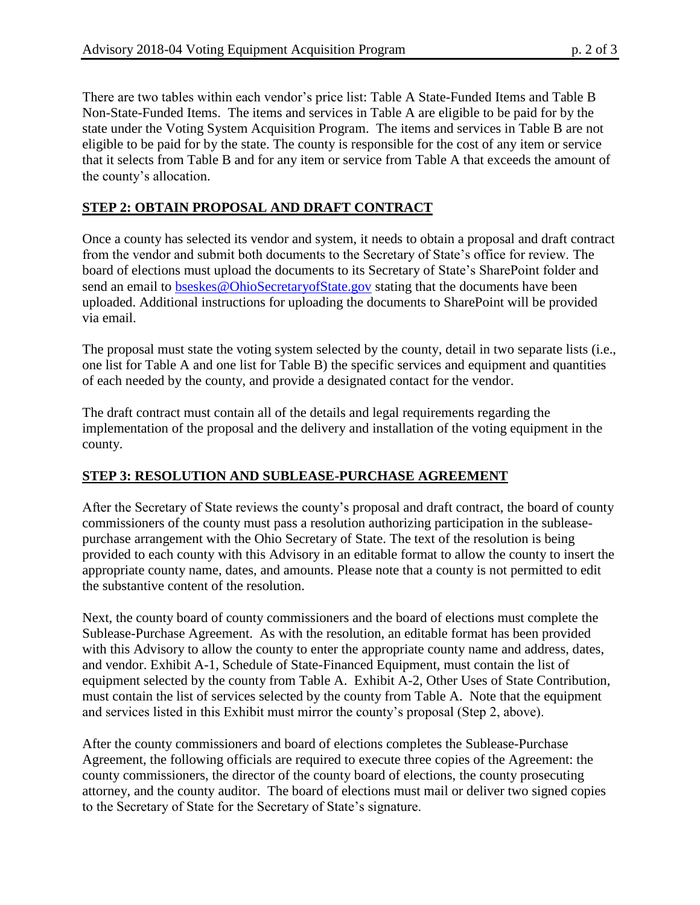There are two tables within each vendor's price list: Table A State-Funded Items and Table B Non-State-Funded Items. The items and services in Table A are eligible to be paid for by the state under the Voting System Acquisition Program. The items and services in Table B are not eligible to be paid for by the state. The county is responsible for the cost of any item or service that it selects from Table B and for any item or service from Table A that exceeds the amount of the county's allocation.

## **STEP 2: OBTAIN PROPOSAL AND DRAFT CONTRACT**

Once a county has selected its vendor and system, it needs to obtain a proposal and draft contract from the vendor and submit both documents to the Secretary of State's office for review. The board of elections must upload the documents to its Secretary of State's SharePoint folder and send an email to [bseskes@OhioSecretaryofState.gov](mailto:bseskes@OhioSecretaryofState.gov) stating that the documents have been uploaded. Additional instructions for uploading the documents to SharePoint will be provided via email.

The proposal must state the voting system selected by the county, detail in two separate lists (i.e., one list for Table A and one list for Table B) the specific services and equipment and quantities of each needed by the county, and provide a designated contact for the vendor.

The draft contract must contain all of the details and legal requirements regarding the implementation of the proposal and the delivery and installation of the voting equipment in the county.

## **STEP 3: RESOLUTION AND SUBLEASE-PURCHASE AGREEMENT**

After the Secretary of State reviews the county's proposal and draft contract, the board of county commissioners of the county must pass a resolution authorizing participation in the subleasepurchase arrangement with the Ohio Secretary of State. The text of the resolution is being provided to each county with this Advisory in an editable format to allow the county to insert the appropriate county name, dates, and amounts. Please note that a county is not permitted to edit the substantive content of the resolution.

Next, the county board of county commissioners and the board of elections must complete the Sublease-Purchase Agreement. As with the resolution, an editable format has been provided with this Advisory to allow the county to enter the appropriate county name and address, dates, and vendor. Exhibit A-1, Schedule of State-Financed Equipment, must contain the list of equipment selected by the county from Table A. Exhibit A-2, Other Uses of State Contribution, must contain the list of services selected by the county from Table A. Note that the equipment and services listed in this Exhibit must mirror the county's proposal (Step 2, above).

After the county commissioners and board of elections completes the Sublease-Purchase Agreement, the following officials are required to execute three copies of the Agreement: the county commissioners, the director of the county board of elections, the county prosecuting attorney, and the county auditor. The board of elections must mail or deliver two signed copies to the Secretary of State for the Secretary of State's signature.